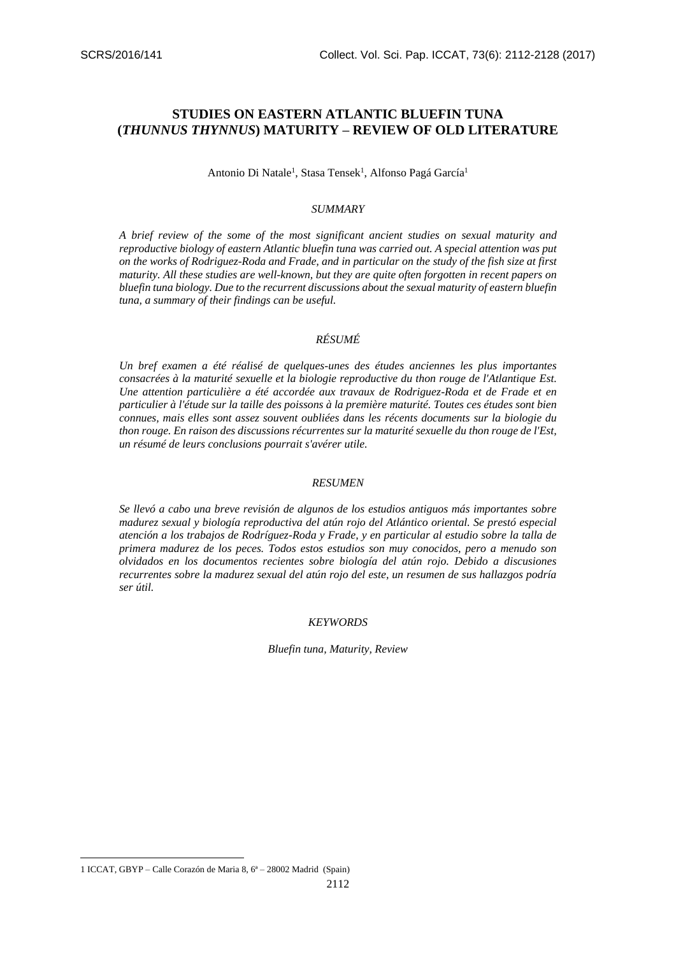# **STUDIES ON EASTERN ATLANTIC BLUEFIN TUNA (***THUNNUS THYNNUS***) MATURITY – REVIEW OF OLD LITERATURE**

Antonio Di Natale<sup>1</sup>, Stasa Tensek<sup>1</sup>, Alfonso Pagá García<sup>1</sup>

# *SUMMARY*

*A brief review of the some of the most significant ancient studies on sexual maturity and reproductive biology of eastern Atlantic bluefin tuna was carried out. A special attention was put on the works of Rodriguez-Roda and Frade, and in particular on the study of the fish size at first maturity. All these studies are well-known, but they are quite often forgotten in recent papers on bluefin tuna biology. Due to the recurrent discussions about the sexual maturity of eastern bluefin tuna, a summary of their findings can be useful.*

# *RÉSUMÉ*

*Un bref examen a été réalisé de quelques-unes des études anciennes les plus importantes consacrées à la maturité sexuelle et la biologie reproductive du thon rouge de l'Atlantique Est. Une attention particulière a été accordée aux travaux de Rodriguez-Roda et de Frade et en particulier à l'étude sur la taille des poissons à la première maturité. Toutes ces études sont bien connues, mais elles sont assez souvent oubliées dans les récents documents sur la biologie du thon rouge. En raison des discussions récurrentes sur la maturité sexuelle du thon rouge de l'Est, un résumé de leurs conclusions pourrait s'avérer utile.*

#### *RESUMEN*

*Se llevó a cabo una breve revisión de algunos de los estudios antiguos más importantes sobre madurez sexual y biología reproductiva del atún rojo del Atlántico oriental. Se prestó especial atención a los trabajos de Rodríguez-Roda y Frade, y en particular al estudio sobre la talla de primera madurez de los peces. Todos estos estudios son muy conocidos, pero a menudo son olvidados en los documentos recientes sobre biología del atún rojo. Debido a discusiones recurrentes sobre la madurez sexual del atún rojo del este, un resumen de sus hallazgos podría ser útil.*

#### *KEYWORDS*

*Bluefin tuna, Maturity, Review*

**.** 

<sup>1</sup> ICCAT, GBYP – Calle Corazón de Maria 8, 6ª – 28002 Madrid (Spain)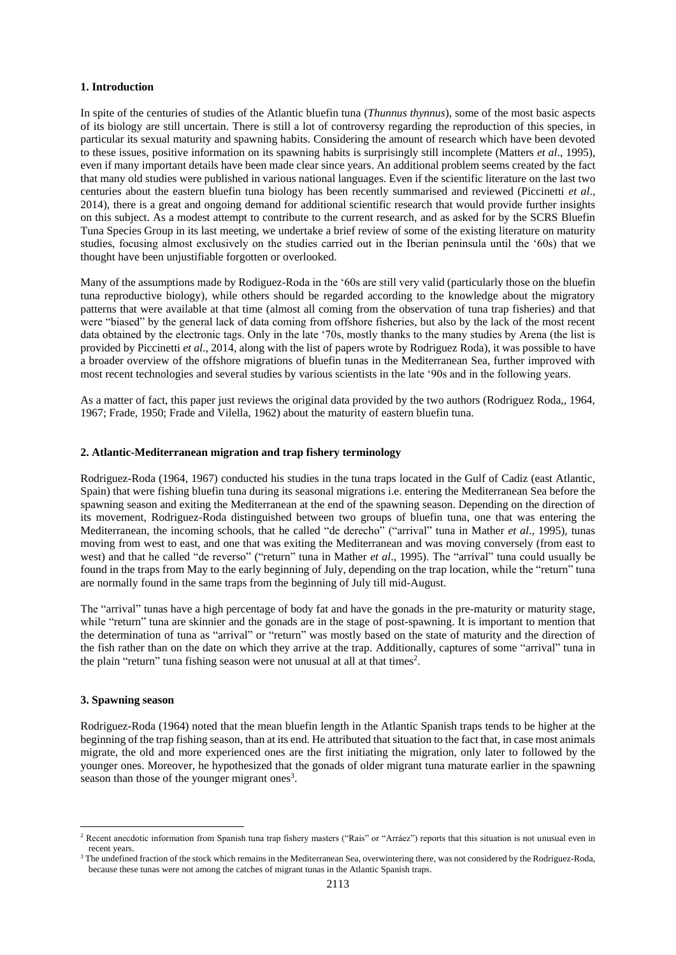## **1. Introduction**

In spite of the centuries of studies of the Atlantic bluefin tuna (*Thunnus thynnus*), some of the most basic aspects of its biology are still uncertain. There is still a lot of controversy regarding the reproduction of this species, in particular its sexual maturity and spawning habits. Considering the amount of research which have been devoted to these issues, positive information on its spawning habits is surprisingly still incomplete (Matters *et al*., 1995), even if many important details have been made clear since years. An additional problem seems created by the fact that many old studies were published in various national languages. Even if the scientific literature on the last two centuries about the eastern bluefin tuna biology has been recently summarised and reviewed (Piccinetti *et al*., 2014), there is a great and ongoing demand for additional scientific research that would provide further insights on this subject. As a modest attempt to contribute to the current research, and as asked for by the SCRS Bluefin Tuna Species Group in its last meeting, we undertake a brief review of some of the existing literature on maturity studies, focusing almost exclusively on the studies carried out in the Iberian peninsula until the '60s) that we thought have been unjustifiable forgotten or overlooked.

Many of the assumptions made by Rodiguez-Roda in the '60s are still very valid (particularly those on the bluefin tuna reproductive biology), while others should be regarded according to the knowledge about the migratory patterns that were available at that time (almost all coming from the observation of tuna trap fisheries) and that were "biased" by the general lack of data coming from offshore fisheries, but also by the lack of the most recent data obtained by the electronic tags. Only in the late '70s, mostly thanks to the many studies by Arena (the list is provided by Piccinetti *et al*., 2014, along with the list of papers wrote by Rodriguez Roda), it was possible to have a broader overview of the offshore migrations of bluefin tunas in the Mediterranean Sea, further improved with most recent technologies and several studies by various scientists in the late '90s and in the following years.

As a matter of fact, this paper just reviews the original data provided by the two authors (Rodriguez Roda,, 1964, 1967; Frade, 1950; Frade and Vilella, 1962) about the maturity of eastern bluefin tuna.

#### **2. Atlantic-Mediterranean migration and trap fishery terminology**

Rodriguez-Roda (1964, 1967) conducted his studies in the tuna traps located in the Gulf of Cadiz (east Atlantic, Spain) that were fishing bluefin tuna during its seasonal migrations i.e. entering the Mediterranean Sea before the spawning season and exiting the Mediterranean at the end of the spawning season. Depending on the direction of its movement, Rodriguez-Roda distinguished between two groups of bluefin tuna, one that was entering the Mediterranean, the incoming schools, that he called "de derecho" ("arrival" tuna in Mather *et al*., 1995), tunas moving from west to east, and one that was exiting the Mediterranean and was moving conversely (from east to west) and that he called "de reverso" ("return" tuna in Mather *et al*., 1995). The "arrival" tuna could usually be found in the traps from May to the early beginning of July, depending on the trap location, while the "return" tuna are normally found in the same traps from the beginning of July till mid-August.

The "arrival" tunas have a high percentage of body fat and have the gonads in the pre-maturity or maturity stage, while "return" tuna are skinnier and the gonads are in the stage of post-spawning. It is important to mention that the determination of tuna as "arrival" or "return" was mostly based on the state of maturity and the direction of the fish rather than on the date on which they arrive at the trap. Additionally, captures of some "arrival" tuna in the plain "return" tuna fishing season were not unusual at all at that times<sup>2</sup>.

## **3. Spawning season**

1

Rodriguez-Roda (1964) noted that the mean bluefin length in the Atlantic Spanish traps tends to be higher at the beginning of the trap fishing season, than at its end. He attributed that situation to the fact that, in case most animals migrate, the old and more experienced ones are the first initiating the migration, only later to followed by the younger ones. Moreover, he hypothesized that the gonads of older migrant tuna maturate earlier in the spawning season than those of the younger migrant ones<sup>3</sup>.

<sup>&</sup>lt;sup>2</sup> Recent anecdotic information from Spanish tuna trap fishery masters ("Rais" or "Arráez") reports that this situation is not unusual even in recent years.

<sup>&</sup>lt;sup>3</sup> The undefined fraction of the stock which remains in the Mediterranean Sea, overwintering there, was not considered by the Rodriguez-Roda, because these tunas were not among the catches of migrant tunas in the Atlantic Spanish traps.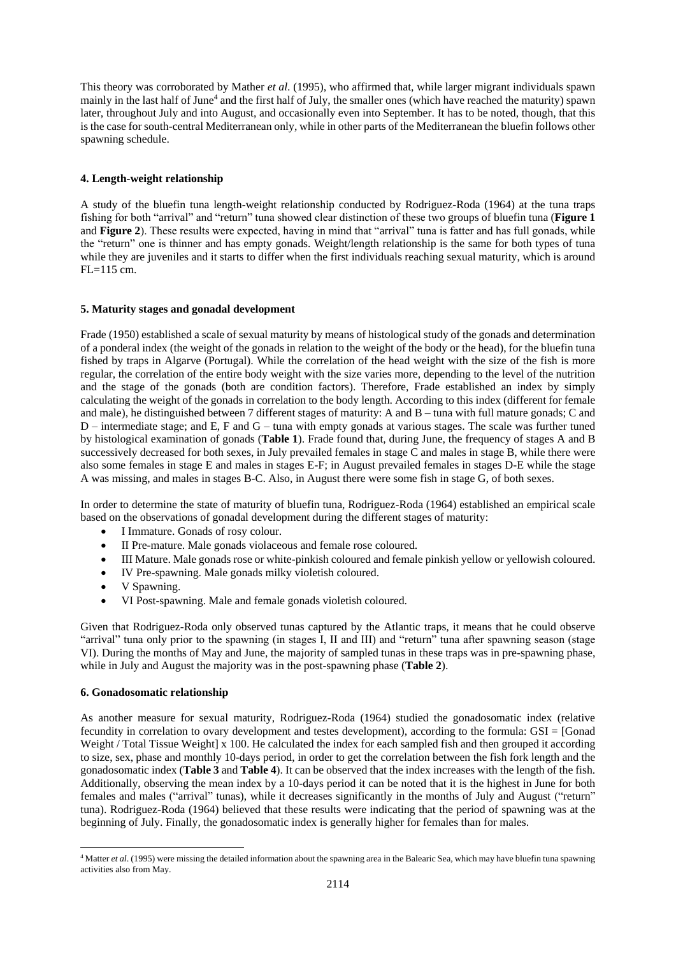This theory was corroborated by Mather *et al*. (1995), who affirmed that, while larger migrant individuals spawn mainly in the last half of June<sup>4</sup> and the first half of July, the smaller ones (which have reached the maturity) spawn later, throughout July and into August, and occasionally even into September. It has to be noted, though, that this is the case for south-central Mediterranean only, while in other parts of the Mediterranean the bluefin follows other spawning schedule.

# **4. Length-weight relationship**

A study of the bluefin tuna length-weight relationship conducted by Rodriguez-Roda (1964) at the tuna traps fishing for both "arrival" and "return" tuna showed clear distinction of these two groups of bluefin tuna (**Figure 1** and **Figure 2**). These results were expected, having in mind that "arrival" tuna is fatter and has full gonads, while the "return" one is thinner and has empty gonads. Weight/length relationship is the same for both types of tuna while they are juveniles and it starts to differ when the first individuals reaching sexual maturity, which is around FL=115 cm.

# **5. Maturity stages and gonadal development**

Frade (1950) established a scale of sexual maturity by means of histological study of the gonads and determination of a ponderal index (the weight of the gonads in relation to the weight of the body or the head), for the bluefin tuna fished by traps in Algarve (Portugal). While the correlation of the head weight with the size of the fish is more regular, the correlation of the entire body weight with the size varies more, depending to the level of the nutrition and the stage of the gonads (both are condition factors). Therefore, Frade established an index by simply calculating the weight of the gonads in correlation to the body length. According to this index (different for female and male), he distinguished between 7 different stages of maturity: A and B – tuna with full mature gonads; C and D – intermediate stage; and E, F and G – tuna with empty gonads at various stages. The scale was further tuned by histological examination of gonads (**Table 1**). Frade found that, during June, the frequency of stages A and B successively decreased for both sexes, in July prevailed females in stage C and males in stage B, while there were also some females in stage E and males in stages E-F; in August prevailed females in stages D-E while the stage A was missing, and males in stages B-C. Also, in August there were some fish in stage G, of both sexes.

In order to determine the state of maturity of bluefin tuna, Rodriguez-Roda (1964) established an empirical scale based on the observations of gonadal development during the different stages of maturity:

- I Immature. Gonads of rosy colour.
- II Pre-mature. Male gonads violaceous and female rose coloured.
- III Mature. Male gonads rose or white-pinkish coloured and female pinkish yellow or yellowish coloured.
- IV Pre-spawning. Male gonads milky violetish coloured.
- V Spawning.
- VI Post-spawning. Male and female gonads violetish coloured.

Given that Rodriguez-Roda only observed tunas captured by the Atlantic traps, it means that he could observe "arrival" tuna only prior to the spawning (in stages I, II and III) and "return" tuna after spawning season (stage VI). During the months of May and June, the majority of sampled tunas in these traps was in pre-spawning phase, while in July and August the majority was in the post-spawning phase (**Table 2**).

# **6. Gonadosomatic relationship**

As another measure for sexual maturity, Rodriguez-Roda (1964) studied the gonadosomatic index (relative fecundity in correlation to ovary development and testes development), according to the formula: GSI = [Gonad Weight / Total Tissue Weight | x 100. He calculated the index for each sampled fish and then grouped it according to size, sex, phase and monthly 10-days period, in order to get the correlation between the fish fork length and the gonadosomatic index (**Table 3** and **Table 4**). It can be observed that the index increases with the length of the fish. Additionally, observing the mean index by a 10-days period it can be noted that it is the highest in June for both females and males ("arrival" tunas), while it decreases significantly in the months of July and August ("return" tuna). Rodriguez-Roda (1964) believed that these results were indicating that the period of spawning was at the beginning of July. Finally, the gonadosomatic index is generally higher for females than for males.

**<sup>.</sup>** <sup>4</sup> Matter *et al.* (1995) were missing the detailed information about the spawning area in the Balearic Sea, which may have bluefin tuna spawning activities also from May.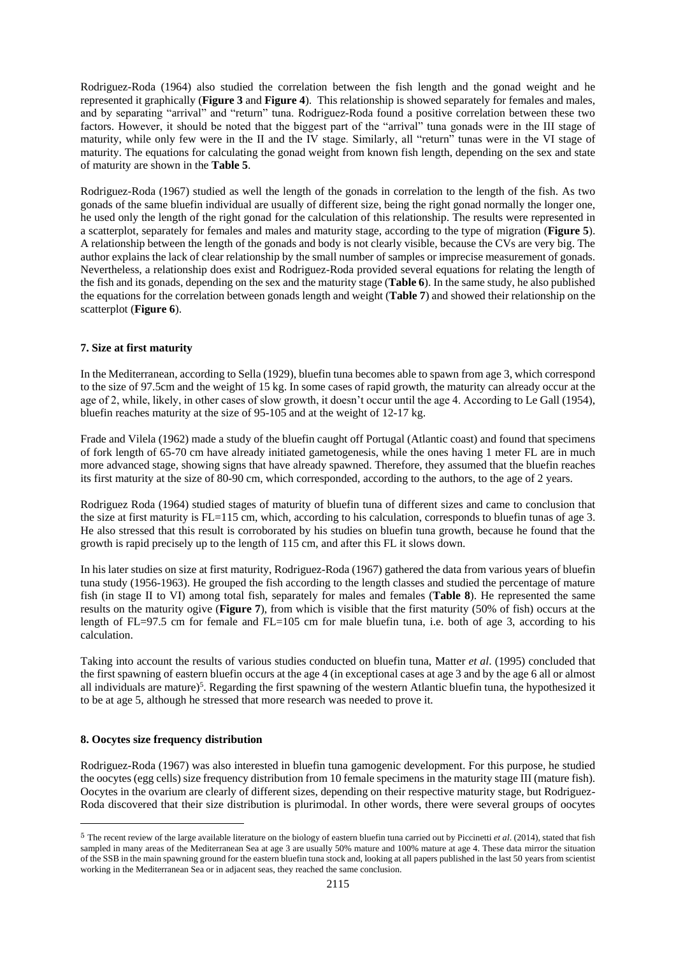Rodriguez-Roda (1964) also studied the correlation between the fish length and the gonad weight and he represented it graphically (**Figure 3** and **Figure 4**). This relationship is showed separately for females and males, and by separating "arrival" and "return" tuna. Rodriguez-Roda found a positive correlation between these two factors. However, it should be noted that the biggest part of the "arrival" tuna gonads were in the III stage of maturity, while only few were in the II and the IV stage. Similarly, all "return" tunas were in the VI stage of maturity. The equations for calculating the gonad weight from known fish length, depending on the sex and state of maturity are shown in the **Table 5**.

Rodriguez-Roda (1967) studied as well the length of the gonads in correlation to the length of the fish. As two gonads of the same bluefin individual are usually of different size, being the right gonad normally the longer one, he used only the length of the right gonad for the calculation of this relationship. The results were represented in a scatterplot, separately for females and males and maturity stage, according to the type of migration (**Figure 5**). A relationship between the length of the gonads and body is not clearly visible, because the CVs are very big. The author explains the lack of clear relationship by the small number of samples or imprecise measurement of gonads. Nevertheless, a relationship does exist and Rodriguez-Roda provided several equations for relating the length of the fish and its gonads, depending on the sex and the maturity stage (**Table 6**). In the same study, he also published the equations for the correlation between gonads length and weight (**Table 7**) and showed their relationship on the scatterplot (**Figure 6**).

## **7. Size at first maturity**

In the Mediterranean, according to Sella (1929), bluefin tuna becomes able to spawn from age 3, which correspond to the size of 97.5cm and the weight of 15 kg. In some cases of rapid growth, the maturity can already occur at the age of 2, while, likely, in other cases of slow growth, it doesn't occur until the age 4. According to Le Gall (1954), bluefin reaches maturity at the size of 95-105 and at the weight of 12-17 kg.

Frade and Vilela (1962) made a study of the bluefin caught off Portugal (Atlantic coast) and found that specimens of fork length of 65-70 cm have already initiated gametogenesis, while the ones having 1 meter FL are in much more advanced stage, showing signs that have already spawned. Therefore, they assumed that the bluefin reaches its first maturity at the size of 80-90 cm, which corresponded, according to the authors, to the age of 2 years.

Rodriguez Roda (1964) studied stages of maturity of bluefin tuna of different sizes and came to conclusion that the size at first maturity is FL=115 cm, which, according to his calculation, corresponds to bluefin tunas of age 3. He also stressed that this result is corroborated by his studies on bluefin tuna growth, because he found that the growth is rapid precisely up to the length of 115 cm, and after this FL it slows down.

In his later studies on size at first maturity, Rodriguez-Roda (1967) gathered the data from various years of bluefin tuna study (1956-1963). He grouped the fish according to the length classes and studied the percentage of mature fish (in stage II to VI) among total fish, separately for males and females (**Table 8**). He represented the same results on the maturity ogive (**Figure 7**), from which is visible that the first maturity (50% of fish) occurs at the length of FL=97.5 cm for female and FL=105 cm for male bluefin tuna, i.e. both of age 3, according to his calculation.

Taking into account the results of various studies conducted on bluefin tuna, Matter *et al*. (1995) concluded that the first spawning of eastern bluefin occurs at the age 4 (in exceptional cases at age 3 and by the age 6 all or almost all individuals are mature)<sup>5</sup>. Regarding the first spawning of the western Atlantic bluefin tuna, the hypothesized it to be at age 5, although he stressed that more research was needed to prove it.

# **8. Oocytes size frequency distribution**

**.** 

Rodriguez-Roda (1967) was also interested in bluefin tuna gamogenic development. For this purpose, he studied the oocytes (egg cells) size frequency distribution from 10 female specimens in the maturity stage III (mature fish). Oocytes in the ovarium are clearly of different sizes, depending on their respective maturity stage, but Rodriguez-Roda discovered that their size distribution is plurimodal. In other words, there were several groups of oocytes

<sup>5</sup> The recent review of the large available literature on the biology of eastern bluefin tuna carried out by Piccinetti *et al*. (2014), stated that fish sampled in many areas of the Mediterranean Sea at age 3 are usually 50% mature and 100% mature at age 4. These data mirror the situation of the SSB in the main spawning ground for the eastern bluefin tuna stock and, looking at all papers published in the last 50 years from scientist working in the Mediterranean Sea or in adjacent seas, they reached the same conclusion.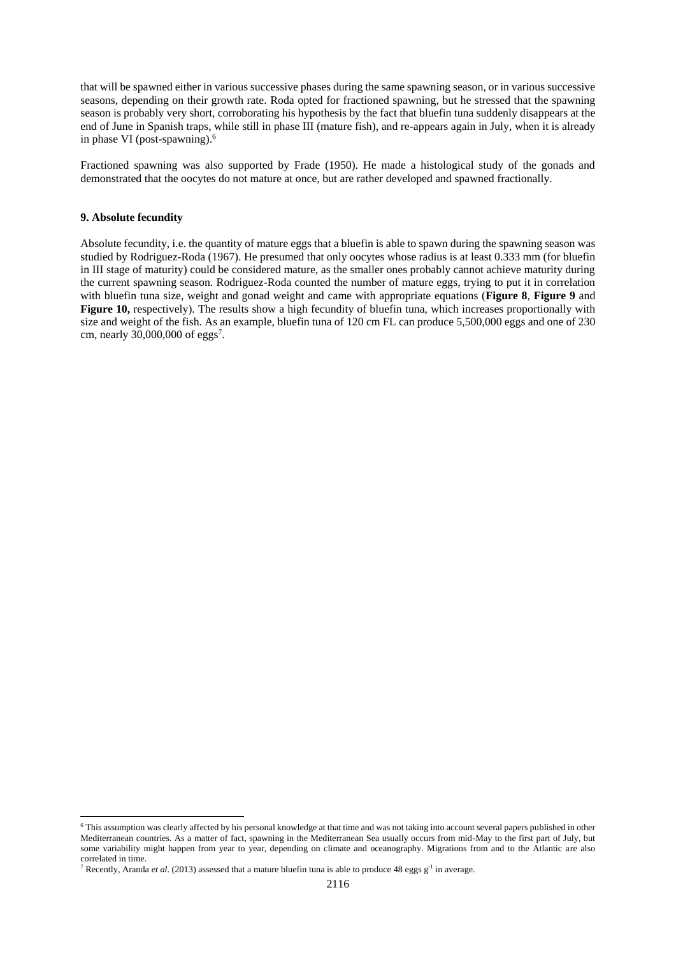that will be spawned either in various successive phases during the same spawning season, or in various successive seasons, depending on their growth rate. Roda opted for fractioned spawning, but he stressed that the spawning season is probably very short, corroborating his hypothesis by the fact that bluefin tuna suddenly disappears at the end of June in Spanish traps, while still in phase III (mature fish), and re-appears again in July, when it is already in phase VI (post-spawning). 6

Fractioned spawning was also supported by Frade (1950). He made a histological study of the gonads and demonstrated that the oocytes do not mature at once, but are rather developed and spawned fractionally.

## **9. Absolute fecundity**

**.** 

Absolute fecundity, i.e. the quantity of mature eggs that a bluefin is able to spawn during the spawning season was studied by Rodriguez-Roda (1967). He presumed that only oocytes whose radius is at least 0.333 mm (for bluefin in III stage of maturity) could be considered mature, as the smaller ones probably cannot achieve maturity during the current spawning season. Rodriguez-Roda counted the number of mature eggs, trying to put it in correlation with bluefin tuna size, weight and gonad weight and came with appropriate equations (**Figure 8**, **Figure 9** and **Figure 10,** respectively). The results show a high fecundity of bluefin tuna, which increases proportionally with size and weight of the fish. As an example, bluefin tuna of 120 cm FL can produce 5,500,000 eggs and one of 230 cm, nearly  $30,000,000$  of eggs<sup>7</sup>.

<sup>6</sup> This assumption was clearly affected by his personal knowledge at that time and was not taking into account several papers published in other Mediterranean countries. As a matter of fact, spawning in the Mediterranean Sea usually occurs from mid-May to the first part of July, but some variability might happen from year to year, depending on climate and oceanography. Migrations from and to the Atlantic are also correlated in time.

<sup>&</sup>lt;sup>7</sup> Recently, Aranda *et al.* (2013) assessed that a mature bluefin tuna is able to produce 48 eggs  $g^{-1}$  in average.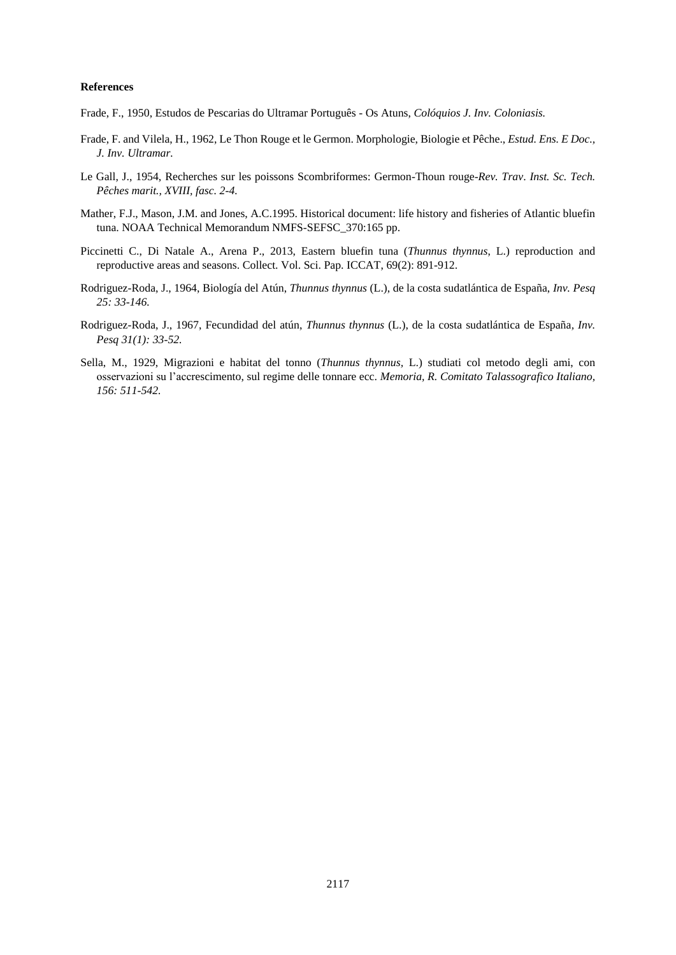## **References**

Frade, F., 1950, Estudos de Pescarias do Ultramar Português - Os Atuns, *Colóquios J. Inv. Coloniasis.* 

- Frade, F. and Vilela, H., 1962, Le Thon Rouge et le Germon. Morphologie, Biologie et Pêche., *Estud. Ens. E Doc., J. Inv. Ultramar.*
- Le Gall, J., 1954, Recherches sur les poissons Scombriformes: Germon-Thoun rouge-*Rev. Trav*. *Inst. Sc. Tech. Pêches marit., XVIII, fasc. 2-4.*
- Mather, F.J., Mason, J.M. and Jones, A.C.1995. Historical document: life history and fisheries of Atlantic bluefin tuna. NOAA Technical Memorandum NMFS-SEFSC\_370:165 pp.
- Piccinetti C., Di Natale A., Arena P., 2013, Eastern bluefin tuna (*Thunnus thynnus*, L.) reproduction and reproductive areas and seasons. Collect. Vol. Sci. Pap. ICCAT, 69(2): 891-912.
- Rodriguez-Roda, J., 1964, Biología del Atún, *Thunnus thynnus* (L.), de la costa sudatlántica de España, *Inv. Pesq 25: 33-146.*
- Rodriguez-Roda, J., 1967, Fecundidad del atún, *Thunnus thynnus* (L.), de la costa sudatlántica de España*, Inv. Pesq 31(1): 33-52.*
- Sella, M., 1929, Migrazioni e habitat del tonno (*Thunnus thynnus,* L.) studiati col metodo degli ami, con osservazioni su l'accrescimento, sul regime delle tonnare ecc. *Memoria, R. Comitato Talassografico Italiano, 156: 511-542.*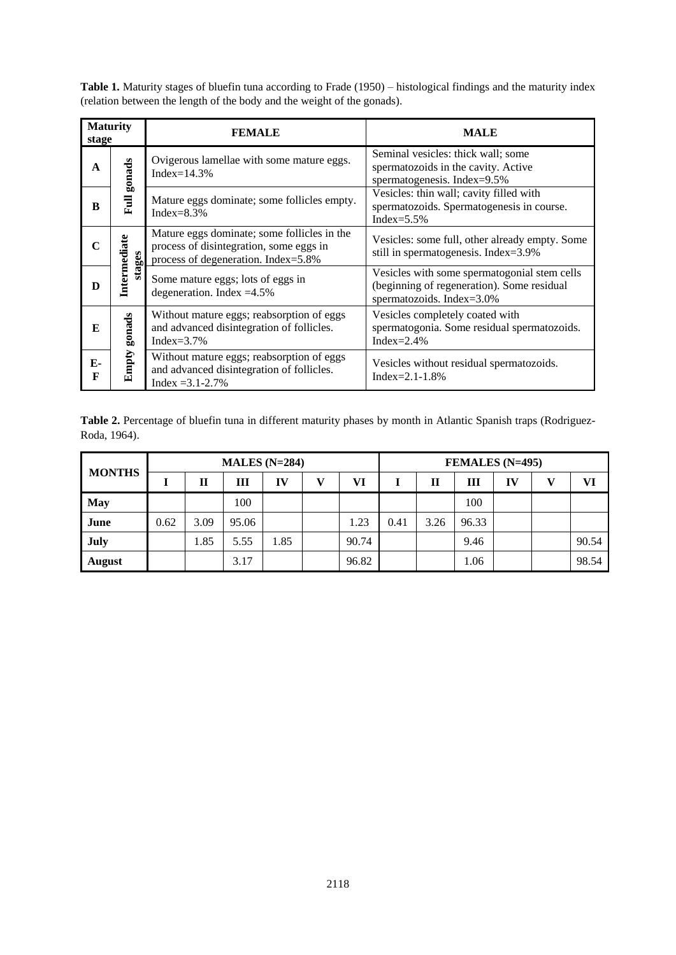**Table 1.** Maturity stages of bluefin tuna according to Frade (1950) – histological findings and the maturity index (relation between the length of the body and the weight of the gonads).

| <b>Maturity</b><br>stage |                        | <b>FEMALE</b>                                                                                                                 | <b>MALE</b>                                                                                                             |  |  |  |  |  |
|--------------------------|------------------------|-------------------------------------------------------------------------------------------------------------------------------|-------------------------------------------------------------------------------------------------------------------------|--|--|--|--|--|
| $\mathbf{A}$             | gonads                 | Ovigerous lamellae with some mature eggs.<br>Index= $14.3\%$                                                                  | Seminal vesicles: thick wall; some<br>spermatozoids in the cavity. Active<br>spermatogenesis. Index=9.5%                |  |  |  |  |  |
| R                        | <b>Full</b>            | Mature eggs dominate; some follicles empty.<br>Index= $8.3\%$                                                                 | Vesicles: thin wall; cavity filled with<br>spermatozoids. Spermatogenesis in course.<br>Index= $5.5\%$                  |  |  |  |  |  |
|                          | Intermediate<br>stages | Mature eggs dominate; some follicles in the<br>process of disintegration, some eggs in<br>process of degeneration. Index=5.8% | Vesicles: some full, other already empty. Some<br>still in spermatogenesis. Index=3.9%                                  |  |  |  |  |  |
| D                        |                        | Some mature eggs; lots of eggs in<br>degeneration. Index $=4.5\%$                                                             | Vesicles with some spermatogonial stem cells<br>(beginning of regeneration). Some residual<br>spermatozoids. Index=3.0% |  |  |  |  |  |
| E                        | gonads                 | Without mature eggs; reabsorption of eggs<br>and advanced disintegration of follicles.<br>Index= $3.7\%$                      | Vesicles completely coated with<br>spermatogonia. Some residual spermatozoids.<br>Index= $2.4\%$                        |  |  |  |  |  |
| Е-<br>F                  | Empty                  | Without mature eggs; reabsorption of eggs<br>and advanced disintegration of follicles.<br>$Index = 3.1 - 2.7\%$               | Vesicles without residual spermatozoids.<br>$Index = 2.1 - 1.8\%$                                                       |  |  |  |  |  |

Table 2. Percentage of bluefin tuna in different maturity phases by month in Atlantic Spanish traps (Rodriguez-Roda, 1964).

| <b>MONTHS</b> |      |      | MALES $(N=284)$ |      |  | FEMALES (N=495) |      |      |       |    |  |       |  |  |  |
|---------------|------|------|-----------------|------|--|-----------------|------|------|-------|----|--|-------|--|--|--|
|               |      | П    | ш               | IV   |  | VI              |      | П    | Ш     | IV |  | VI    |  |  |  |
| <b>May</b>    |      |      | 100             |      |  |                 |      |      | 100   |    |  |       |  |  |  |
| June          | 0.62 | 3.09 | 95.06           |      |  | 1.23            | 0.41 | 3.26 | 96.33 |    |  |       |  |  |  |
| July          |      | 1.85 | 5.55            | 1.85 |  | 90.74           |      |      | 9.46  |    |  | 90.54 |  |  |  |
| <b>August</b> |      |      | 3.17            |      |  | 96.82           |      |      | 1.06  |    |  | 98.54 |  |  |  |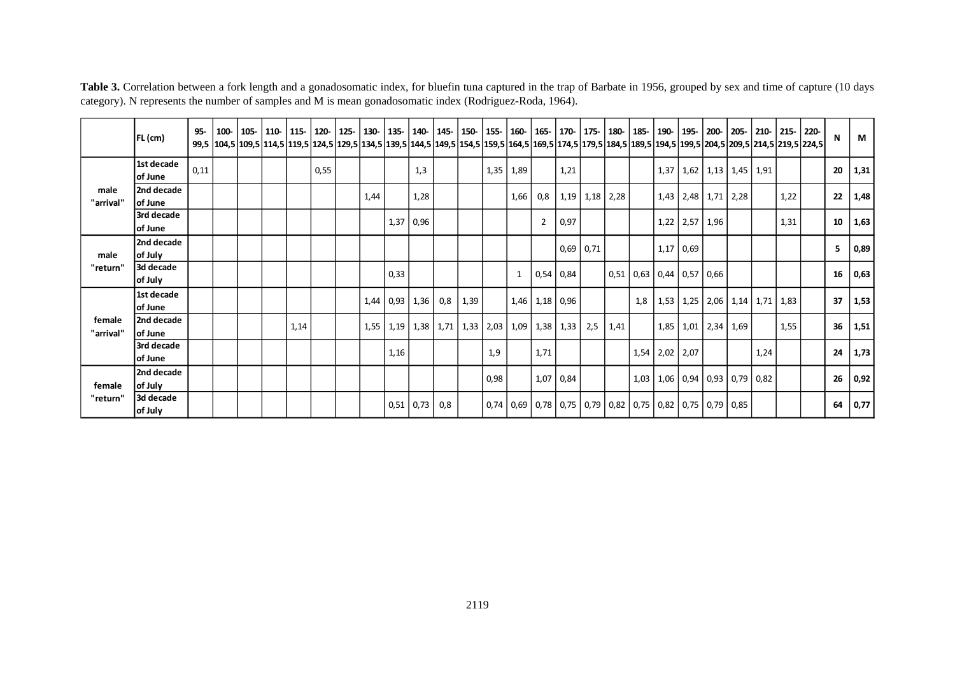|                     | $FL$ (cm)             | 95-  | 100- |  | 105- 110- 115- |      | 120-   125-   130-   135-   140-   145-   150-   155-   160-   165-   170-   175-   180-   185-   190-   195-<br>99,5  104,5  109,5  114,5  119,5  124,5  129,5  134,5  139,5  144,5  149,5  154,5  159,5  164,5  169,5  174,5  179,5  184,5  189,5  194,5  199,5  204,5  209,5  214,5  219,5  229,5  214,5  219,5  229,5  214,5  219,5  229,5 |      |      |                  |                                           |      |      |              |                    |                      |             |             |      |      |                                                                              |                      | 200- 205- |                      | $210 - 215 - 220$ | N  | M    |
|---------------------|-----------------------|------|------|--|----------------|------|------------------------------------------------------------------------------------------------------------------------------------------------------------------------------------------------------------------------------------------------------------------------------------------------------------------------------------------------|------|------|------------------|-------------------------------------------|------|------|--------------|--------------------|----------------------|-------------|-------------|------|------|------------------------------------------------------------------------------|----------------------|-----------|----------------------|-------------------|----|------|
|                     | 1st decade<br>of June | 0,11 |      |  |                | 0,55 |                                                                                                                                                                                                                                                                                                                                                |      |      | 1,3              |                                           |      | 1,35 | 1,89         |                    | 1,21                 |             |             |      | 1,37 |                                                                              | $1,62$   1,13   1,45 |           | 1,91                 |                   | 20 | 1,31 |
| male<br>"arrival"   | 2nd decade<br>of June |      |      |  |                |      |                                                                                                                                                                                                                                                                                                                                                | 1,44 |      | 1,28             |                                           |      |      | 1,66         | 0,8                | 1,19                 |             | $1,18$ 2,28 |      |      | $1,43$   2,48   1,71   2,28                                                  |                      |           |                      | 1,22              | 22 | 1,48 |
|                     | 3rd decade<br>of June |      |      |  |                |      |                                                                                                                                                                                                                                                                                                                                                |      | 1,37 | 0,96             |                                           |      |      |              | $\overline{2}$     | 0,97                 |             |             |      |      | $1,22$ 2,57                                                                  | 1,96                 |           |                      | 1,31              | 10 | 1,63 |
| male                | 2nd decade<br>of July |      |      |  |                |      |                                                                                                                                                                                                                                                                                                                                                |      |      |                  |                                           |      |      |              |                    |                      | $0,69$ 0,71 |             |      |      | $1,17$ 0,69                                                                  |                      |           |                      |                   | 5  | 0,89 |
| "return"            | 3d decade<br>of July  |      |      |  |                |      |                                                                                                                                                                                                                                                                                                                                                |      | 0,33 |                  |                                           |      |      | $\mathbf{1}$ |                    | $0,54$ 0,84          |             |             |      |      | $0.51$ 0.63 0.44 0.57 0.66                                                   |                      |           |                      |                   | 16 | 0,63 |
|                     | 1st decade<br>of June |      |      |  |                |      |                                                                                                                                                                                                                                                                                                                                                |      |      | $1,44$ 0,93 1,36 | 0,8                                       | 1,39 |      |              | $1,46$   1,18 0,96 |                      |             |             | 1,8  | 1,53 | 1,25                                                                         |                      |           | $2,06$   1,14   1,71 | 1,83              | 37 | 1,53 |
| female<br>"arrival" | 2nd decade<br>of June |      |      |  | 1,14           |      |                                                                                                                                                                                                                                                                                                                                                |      |      |                  | $1,55$   1,19   1,38   1,71   1,33   2,03 |      |      |              |                    | $1,09$   1,38   1,33 | 2,5         | 1,41        |      | 1,85 | 1,01                                                                         | 2,34                 | 1,69      |                      | 1,55              | 36 | 1,51 |
|                     | 3rd decade<br>of June |      |      |  |                |      |                                                                                                                                                                                                                                                                                                                                                |      | 1,16 |                  |                                           |      | 1,9  |              | 1,71               |                      |             |             | 1,54 | 2,02 | 2,07                                                                         |                      |           | 1,24                 |                   | 24 | 1,73 |
| female              | 2nd decade<br>of July |      |      |  |                |      |                                                                                                                                                                                                                                                                                                                                                |      |      |                  |                                           |      | 0,98 |              |                    | 1,07 0,84            |             |             | 1,03 |      | $1,06$   0,94   0,93   0,79   0,82                                           |                      |           |                      |                   | 26 | 0,92 |
| "return"            | 3d decade<br>of July  |      |      |  |                |      |                                                                                                                                                                                                                                                                                                                                                |      |      | $0,51$ 0,73      | 0,8                                       |      |      |              |                    |                      |             |             |      |      | $0,74$   0,69   0,78   0,75   0,79   0,82   0,75   0,82   0,75   0,79   0,85 |                      |           |                      |                   | 64 | 0,77 |

Table 3. Correlation between a fork length and a gonadosomatic index, for bluefin tuna captured in the trap of Barbate in 1956, grouped by sex and time of capture (10 days category). N represents the number of samples and M is mean gonadosomatic index (Rodriguez-Roda, 1964).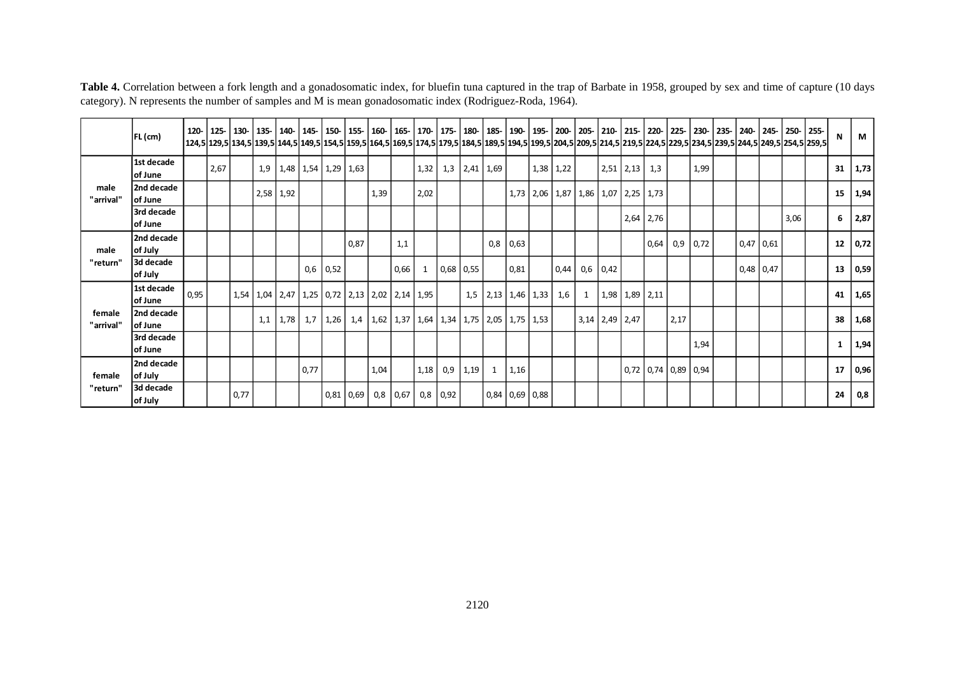|                     | FL (cm)               |      |      |      |           |      |                                   |             |      |      |                                                              |      |            |             |                            |            |             |                                                |            |                  |      |                       |      |             |      | 129,5 129,5 139,5 149,5 149,5 159,5 159,5 164,5 169,5 174,5 179,5 184,5 189,5 194,5 199,5 204,5 209,5 214,5 219,5 214,5 219,5 224,5 229,5 234,5 239,5 244,5 249,5 249,5 259,5 | $\mathbf N$ | M               |
|---------------------|-----------------------|------|------|------|-----------|------|-----------------------------------|-------------|------|------|--------------------------------------------------------------|------|------------|-------------|----------------------------|------------|-------------|------------------------------------------------|------------|------------------|------|-----------------------|------|-------------|------|-------------------------------------------------------------------------------------------------------------------------------------------------------------------------------|-------------|-----------------|
|                     | 1st decade<br>of June |      | 2,67 |      |           |      | $1,9$   1,48   1,54   1,29   1,63 |             |      |      |                                                              | 1,32 | 1,3        |             | $2,41 \quad 1,69$          |            | $1,38$ 1,22 |                                                |            | $2,51$ 2,13 1,3  |      |                       | 1,99 |             |      |                                                                                                                                                                               |             | $31 \quad 1,73$ |
| male<br>"arrival"   | 2nd decade<br>of June |      |      |      | 2,58 1,92 |      |                                   |             |      | 1,39 |                                                              | 2,02 |            |             |                            |            |             | 1,73   2,06   1,87   1,86   1,07   2,25   1,73 |            |                  |      |                       |      |             |      |                                                                                                                                                                               | 15          | 1,94            |
|                     | 3rd decade<br>of June |      |      |      |           |      |                                   |             |      |      |                                                              |      |            |             |                            |            |             |                                                |            | $2,64$ 2,76      |      |                       |      |             | 3,06 |                                                                                                                                                                               | 6           | 2,87            |
| male                | 2nd decade<br>of July |      |      |      |           |      |                                   |             | 0,87 |      | 1,1                                                          |      |            |             |                            | $0,8$ 0.63 |             |                                                |            |                  | 0,64 | 0,9                   | 0,72 | $0,47$ 0,61 |      |                                                                                                                                                                               | 12          | 0,72            |
| "return"            | 3d decade<br>of July  |      |      |      |           |      | 0,6                               | 0,52        |      |      | 0,66                                                         | 1    |            | $0.68$ 0.55 |                            | 0,81       | 0,44        |                                                | $0,6$ 0.42 |                  |      |                       |      | $0,48$ 0,47 |      |                                                                                                                                                                               | 13          | 0,59            |
|                     | 1st decade<br>of June | 0,95 |      |      |           |      |                                   |             |      |      | 1,54   1,04   2,47   1,25   0,72   2,13   2,02   2,14   1,95 |      |            |             | $1,5$   2,13   1,46   1,33 |            | 1,6         | -1                                             |            | $1,98$ 1,89 2,11 |      |                       |      |             |      |                                                                                                                                                                               | 41          | 1,65            |
| female<br>"arrival" | 2nd decade<br>of June |      |      |      | 1,1       | 1,78 | 1,7                               | 1,26        |      |      | 1,4   1,62   1,37   1,64   1,34   1,75   2,05   1,75   1,53  |      |            |             |                            |            |             | $3,14$ 2,49 2,47                               |            |                  |      | 2,17                  |      |             |      |                                                                                                                                                                               | 38          | 1,68            |
|                     | 3rd decade<br>of June |      |      |      |           |      |                                   |             |      |      |                                                              |      |            |             |                            |            |             |                                                |            |                  |      |                       | 1,94 |             |      |                                                                                                                                                                               | 1           | 1,94            |
| female              | 2nd decade<br>of July |      |      |      |           |      | 0,77                              |             |      | 1,04 |                                                              | 1,18 | 0,9        | 1,19        | 1                          | 1,16       |             |                                                |            |                  |      | $0,72$ 0,74 0,89 0,94 |      |             |      |                                                                                                                                                                               | 17          | 0,96            |
| "return"            | 3d decade<br>of July  |      |      | 0,77 |           |      |                                   | $0,81$ 0,69 |      |      | $0,8$ 0,67                                                   |      | $0,8$ 0,92 |             | $0,84$ 0,69 0,88           |            |             |                                                |            |                  |      |                       |      |             |      |                                                                                                                                                                               | 24          | 0,8             |

Table 4. Correlation between a fork length and a gonadosomatic index, for bluefin tuna captured in the trap of Barbate in 1958, grouped by sex and time of capture (10 days category). N represents the number of samples and M is mean gonadosomatic index (Rodriguez-Roda, 1964).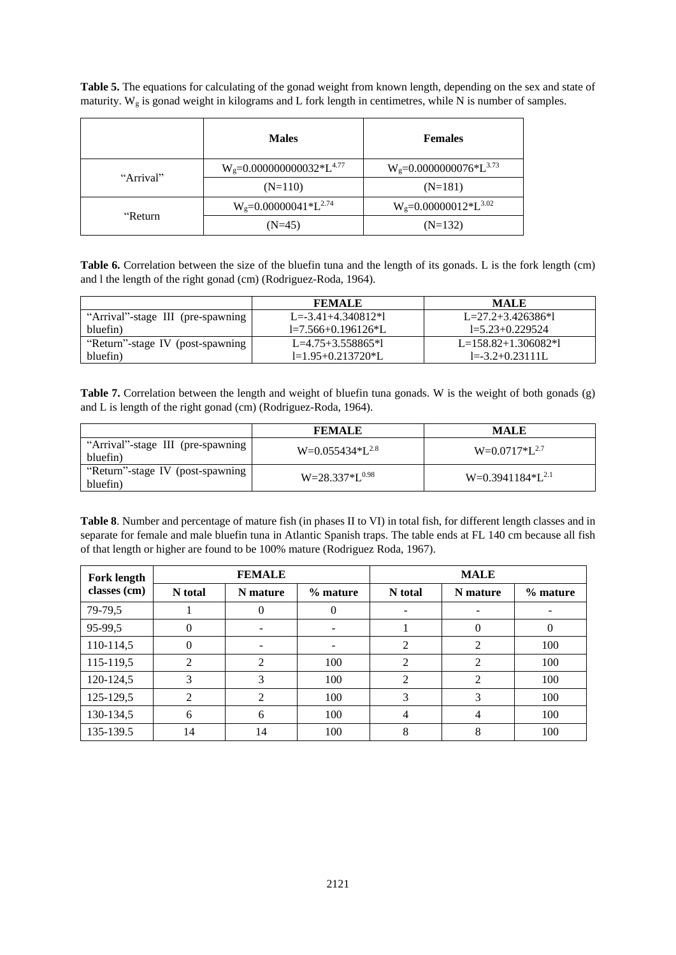**Table 5.** The equations for calculating of the gonad weight from known length, depending on the sex and state of maturity.  $W_g$  is gonad weight in kilograms and L fork length in centimetres, while N is number of samples.

|           | <b>Males</b>                      | <b>Females</b>                 |  |  |  |  |  |
|-----------|-----------------------------------|--------------------------------|--|--|--|--|--|
| "Arrival" | $W_g = 0.000000000032 * L^{4.77}$ | $W_g = 0.00000000076*L^{3.73}$ |  |  |  |  |  |
|           | $(N=110)$                         | $(N=181)$                      |  |  |  |  |  |
| "Return   | $W_g = 0.00000041 * L^{2.74}$     | $W_g=0.00000012*L^{3.02}$      |  |  |  |  |  |
|           | $(N=45)$                          | $(N=132)$                      |  |  |  |  |  |

Table 6. Correlation between the size of the bluefin tuna and the length of its gonads. L is the fork length (cm) and l the length of the right gonad (cm) (Rodriguez-Roda, 1964).

|                                   | <b>FEMALE</b>            | <b>MALE</b>           |
|-----------------------------------|--------------------------|-----------------------|
| "Arrival"-stage III (pre-spawning | $L = -3.41 + 4.340812*1$ | $L=27.2+3.426386*1$   |
| bluefin)                          | $l=7.566+0.196126*L$     | $l = 5.23 + 0.229524$ |
| "Return"-stage IV (post-spawning  | $L=4.75+3.558865*1$      | $L=158.82+1.306082*1$ |
| bluefin)                          | $l=1.95+0.213720*L$      | $I = -3.2 + 0.23111L$ |

**Table 7.** Correlation between the length and weight of bluefin tuna gonads. W is the weight of both gonads (g) and L is length of the right gonad (cm) (Rodriguez-Roda, 1964).

|                                               | <b>FEMALE</b>           | <b>MALE</b>           |
|-----------------------------------------------|-------------------------|-----------------------|
| "Arrival"-stage III (pre-spawning<br>bluefin) | $W=0.055434*L^{2.8}$    | $W=0.0717 * L^{2.7}$  |
| "Return"-stage IV (post-spawning<br>bluefin)  | $W = 28.337 * L^{0.98}$ | $W=0.3941184*L^{2.1}$ |

**Table 8**. Number and percentage of mature fish (in phases II to VI) in total fish, for different length classes and in separate for female and male bluefin tuna in Atlantic Spanish traps. The table ends at FL 140 cm because all fish of that length or higher are found to be 100% mature (Rodriguez Roda, 1967).

| <b>Fork length</b> |         | <b>FEMALE</b>            |            | <b>MALE</b>    |                |            |  |  |  |  |  |  |
|--------------------|---------|--------------------------|------------|----------------|----------------|------------|--|--|--|--|--|--|
| classes (cm)       | N total | N mature                 | $%$ mature | N total        | N mature       | $%$ mature |  |  |  |  |  |  |
| 79-79,5            |         | $\Omega$                 |            |                |                |            |  |  |  |  |  |  |
| 95-99,5            | 0       | $\overline{\phantom{a}}$ |            |                | $\Omega$       | $\Omega$   |  |  |  |  |  |  |
| 110-114,5          | 0       | $\overline{\phantom{0}}$ |            | 2              | 2              | 100        |  |  |  |  |  |  |
| 115-119,5          | 2       | $\overline{2}$           | 100        | 2              | $\overline{2}$ | 100        |  |  |  |  |  |  |
| 120-124,5          | 3       | 3                        | 100        | 2              | $\overline{2}$ | 100        |  |  |  |  |  |  |
| 125-129,5          | 2       | 2                        | 100        | 3              | 3              | 100        |  |  |  |  |  |  |
| 130-134,5          | 6       | 6                        | 100        | $\overline{4}$ | 4              | 100        |  |  |  |  |  |  |
| 135-139.5          | 14      | 14                       | 100        | 8              | 8              | 100        |  |  |  |  |  |  |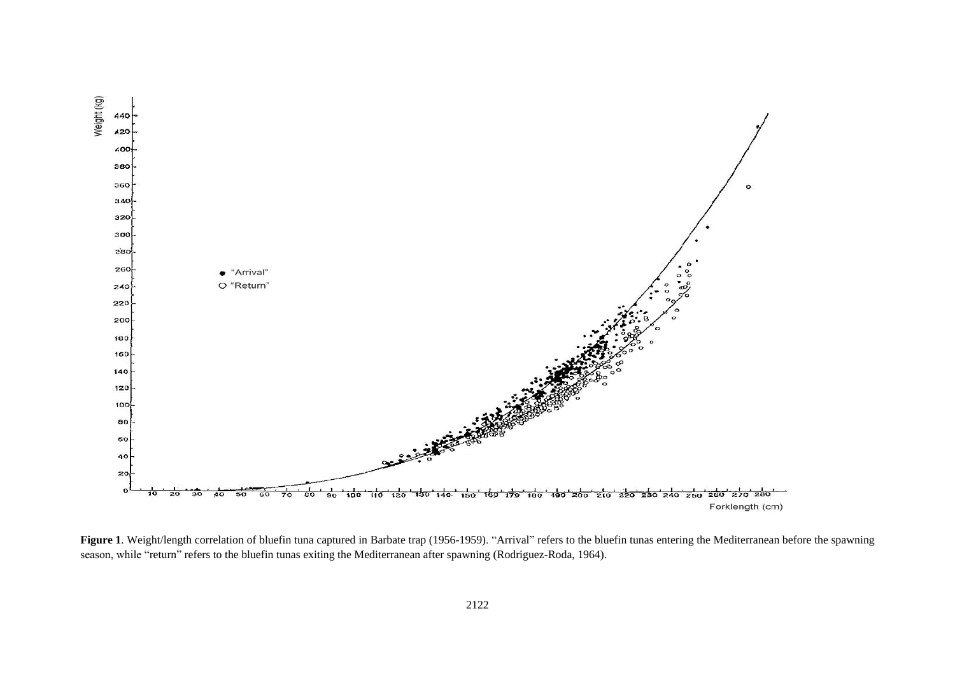

Figure 1. Weight/length correlation of bluefin tuna captured in Barbate trap (1956-1959). "Arrival" refers to the bluefin tunas entering the Mediterranean before the spawning season, while "return" refers to the bluefin tunas exiting the Mediterranean after spawning (Rodriguez-Roda, 1964).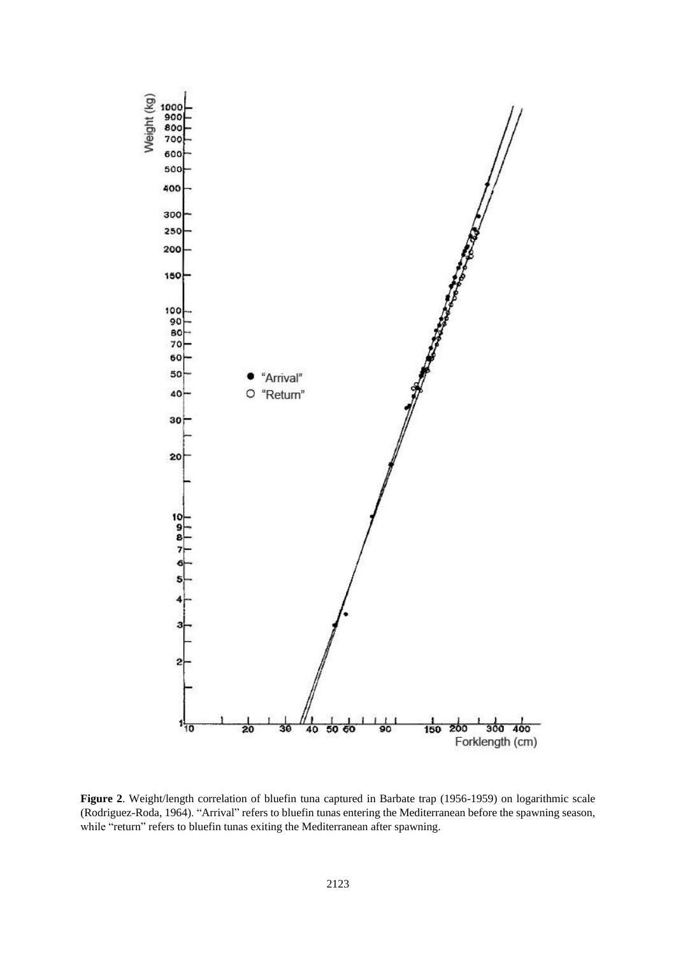

**Figure 2**. Weight/length correlation of bluefin tuna captured in Barbate trap (1956-1959) on logarithmic scale (Rodriguez-Roda, 1964). "Arrival" refers to bluefin tunas entering the Mediterranean before the spawning season, while "return" refers to bluefin tunas exiting the Mediterranean after spawning.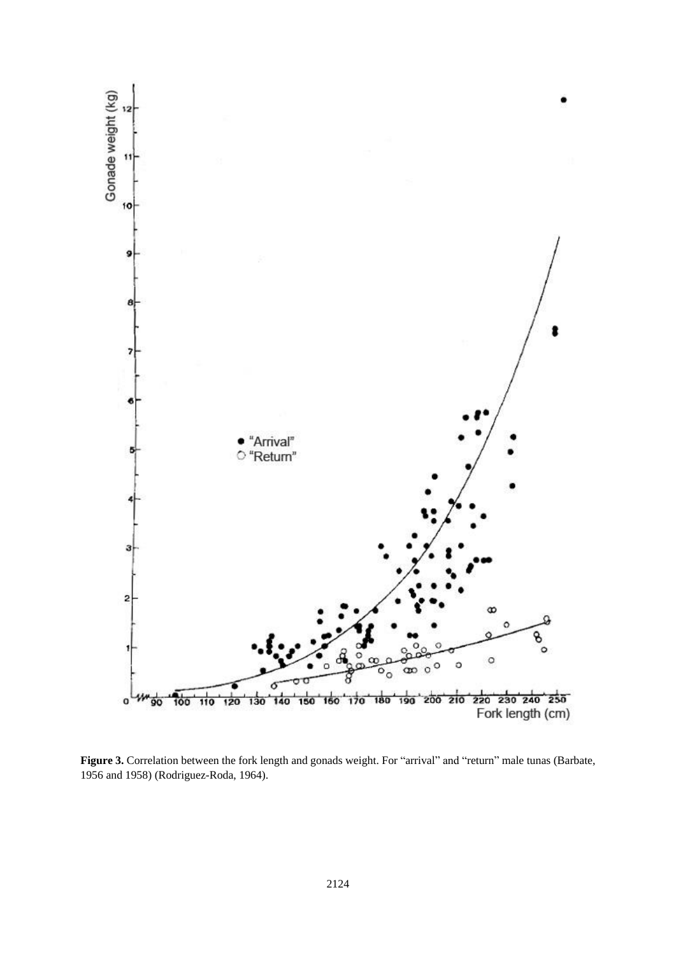

**Figure 3.** Correlation between the fork length and gonads weight. For "arrival" and "return" male tunas (Barbate, 1956 and 1958) (Rodriguez-Roda, 1964).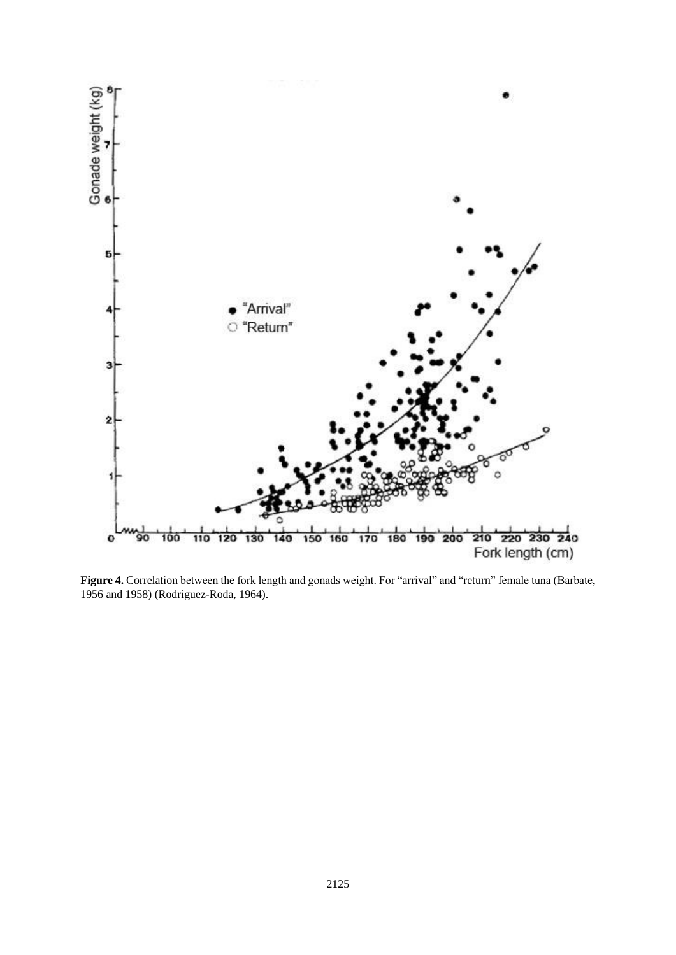

**Figure 4.** Correlation between the fork length and gonads weight. For "arrival" and "return" female tuna (Barbate, 1956 and 1958) (Rodriguez-Roda, 1964).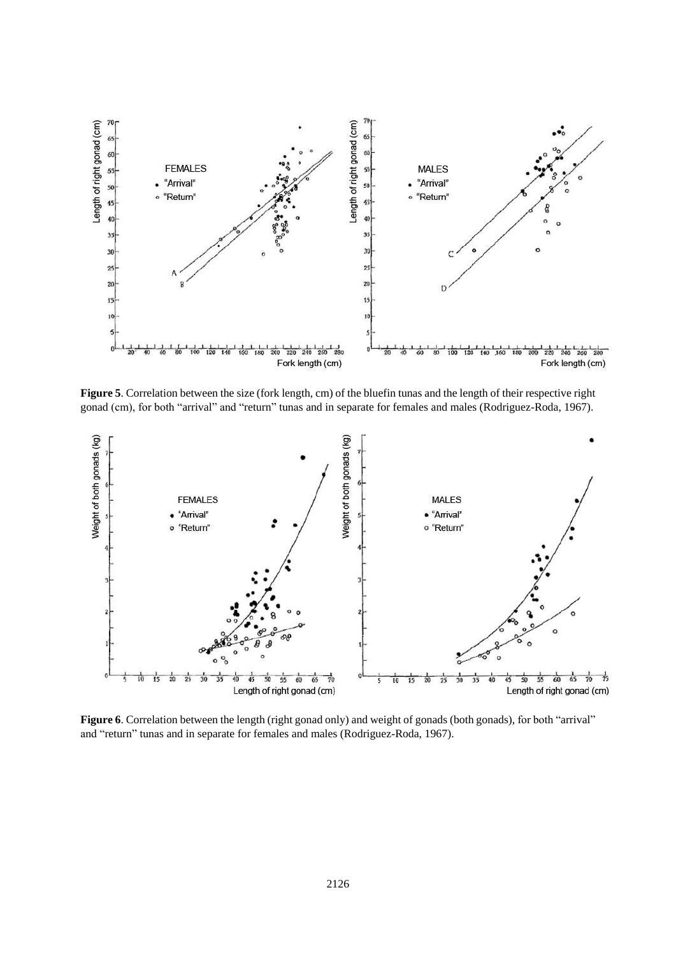

**Figure 5**. Correlation between the size (fork length, cm) of the bluefin tunas and the length of their respective right gonad (cm), for both "arrival" and "return" tunas and in separate for females and males (Rodriguez-Roda, 1967).



**Figure 6**. Correlation between the length (right gonad only) and weight of gonads (both gonads), for both "arrival" and "return" tunas and in separate for females and males (Rodriguez-Roda, 1967).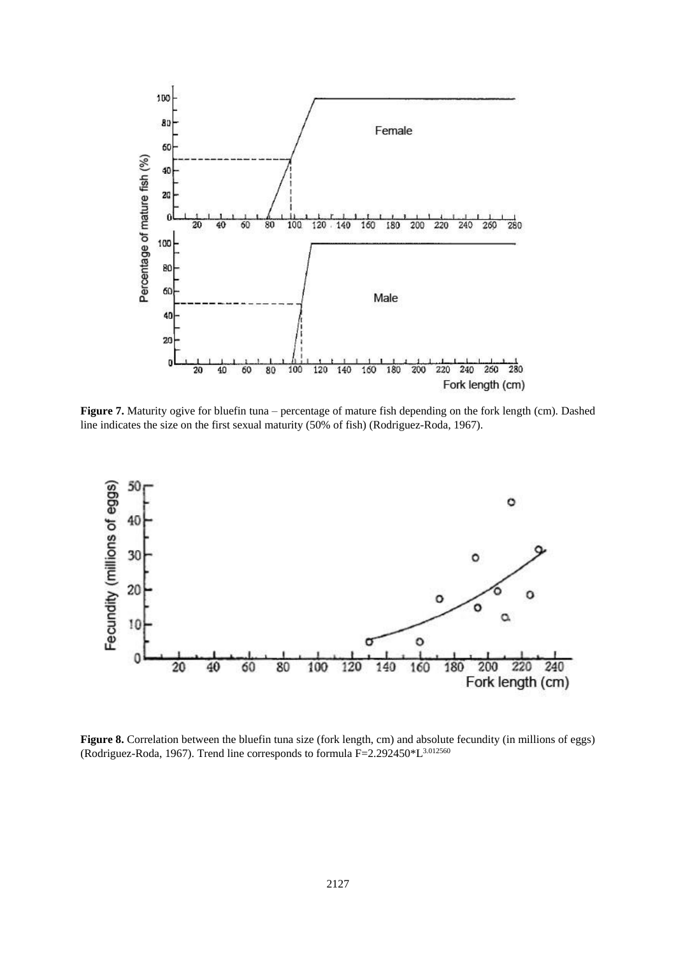

Figure 7. Maturity ogive for bluefin tuna – percentage of mature fish depending on the fork length (cm). Dashed line indicates the size on the first sexual maturity (50% of fish) (Rodriguez-Roda, 1967).



**Figure 8.** Correlation between the bluefin tuna size (fork length, cm) and absolute fecundity (in millions of eggs) (Rodriguez-Roda, 1967). Trend line corresponds to formula F=2.292450\*L3.012560